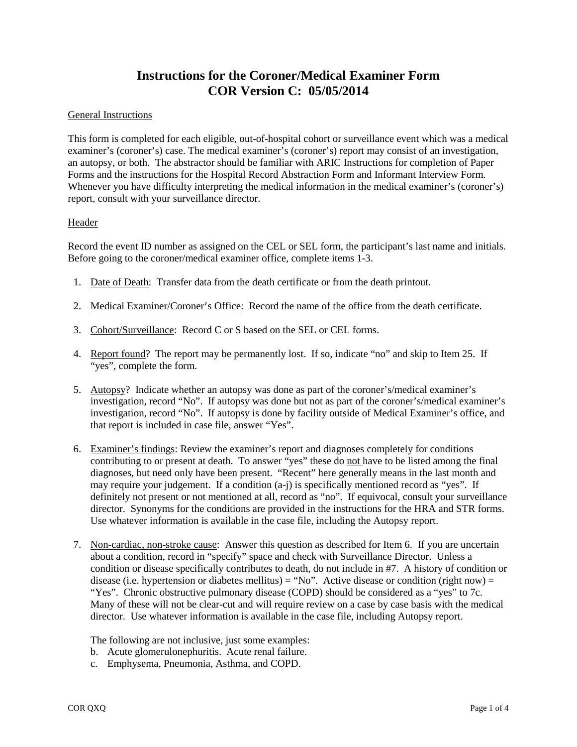## **Instructions for the Coroner/Medical Examiner Form COR Version C: 05/05/2014**

## General Instructions

This form is completed for each eligible, out-of-hospital cohort or surveillance event which was a medical examiner's (coroner's) case. The medical examiner's (coroner's) report may consist of an investigation, an autopsy, or both. The abstractor should be familiar with ARIC Instructions for completion of Paper Forms and the instructions for the Hospital Record Abstraction Form and Informant Interview Form. Whenever you have difficulty interpreting the medical information in the medical examiner's (coroner's) report, consult with your surveillance director.

## Header

Record the event ID number as assigned on the CEL or SEL form, the participant's last name and initials. Before going to the coroner/medical examiner office, complete items 1-3.

- 1. Date of Death: Transfer data from the death certificate or from the death printout.
- 2. Medical Examiner/Coroner's Office: Record the name of the office from the death certificate.
- 3. Cohort/Surveillance: Record C or S based on the SEL or CEL forms.
- 4. Report found? The report may be permanently lost. If so, indicate "no" and skip to Item 25. If "yes", complete the form.
- 5. Autopsy? Indicate whether an autopsy was done as part of the coroner's/medical examiner's investigation, record "No". If autopsy was done but not as part of the coroner's/medical examiner's investigation, record "No". If autopsy is done by facility outside of Medical Examiner's office, and that report is included in case file, answer "Yes".
- 6. Examiner's findings: Review the examiner's report and diagnoses completely for conditions contributing to or present at death. To answer "yes" these do not have to be listed among the final diagnoses, but need only have been present. "Recent" here generally means in the last month and may require your judgement. If a condition (a-j) is specifically mentioned record as "yes". If definitely not present or not mentioned at all, record as "no". If equivocal, consult your surveillance director. Synonyms for the conditions are provided in the instructions for the HRA and STR forms. Use whatever information is available in the case file, including the Autopsy report.
- 7. Non-cardiac, non-stroke cause: Answer this question as described for Item 6. If you are uncertain about a condition, record in "specify" space and check with Surveillance Director. Unless a condition or disease specifically contributes to death, do not include in #7. A history of condition or disease (i.e. hypertension or diabetes mellitus) = "No". Active disease or condition (right now) = "Yes". Chronic obstructive pulmonary disease (COPD) should be considered as a "yes" to 7c. Many of these will not be clear-cut and will require review on a case by case basis with the medical director. Use whatever information is available in the case file, including Autopsy report.

The following are not inclusive, just some examples:

- b. Acute glomerulonephuritis. Acute renal failure.
- c. Emphysema, Pneumonia, Asthma, and COPD.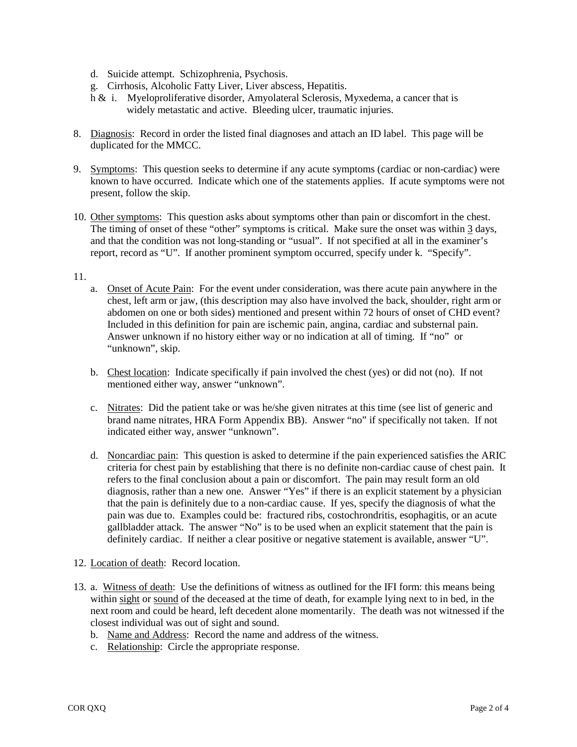- d. Suicide attempt. Schizophrenia, Psychosis.
- g. Cirrhosis, Alcoholic Fatty Liver, Liver abscess, Hepatitis.
- h & i. Myeloproliferative disorder, Amyolateral Sclerosis, Myxedema, a cancer that is widely metastatic and active. Bleeding ulcer, traumatic injuries.
- 8. Diagnosis: Record in order the listed final diagnoses and attach an ID label. This page will be duplicated for the MMCC.
- 9. Symptoms: This question seeks to determine if any acute symptoms (cardiac or non-cardiac) were known to have occurred. Indicate which one of the statements applies. If acute symptoms were not present, follow the skip.
- 10. Other symptoms: This question asks about symptoms other than pain or discomfort in the chest. The timing of onset of these "other" symptoms is critical. Make sure the onset was within 3 days, and that the condition was not long-standing or "usual". If not specified at all in the examiner's report, record as "U". If another prominent symptom occurred, specify under k. "Specify".

## 11.

- a. Onset of Acute Pain: For the event under consideration, was there acute pain anywhere in the chest, left arm or jaw, (this description may also have involved the back, shoulder, right arm or abdomen on one or both sides) mentioned and present within 72 hours of onset of CHD event? Included in this definition for pain are ischemic pain, angina, cardiac and substernal pain. Answer unknown if no history either way or no indication at all of timing. If "no" or "unknown", skip.
- b. Chest location: Indicate specifically if pain involved the chest (yes) or did not (no). If not mentioned either way, answer "unknown".
- c. Nitrates: Did the patient take or was he/she given nitrates at this time (see list of generic and brand name nitrates, HRA Form Appendix BB). Answer "no" if specifically not taken. If not indicated either way, answer "unknown".
- d. Noncardiac pain: This question is asked to determine if the pain experienced satisfies the ARIC criteria for chest pain by establishing that there is no definite non-cardiac cause of chest pain. It refers to the final conclusion about a pain or discomfort. The pain may result form an old diagnosis, rather than a new one. Answer "Yes" if there is an explicit statement by a physician that the pain is definitely due to a non-cardiac cause. If yes, specify the diagnosis of what the pain was due to. Examples could be: fractured ribs, costochrondritis, esophagitis, or an acute gallbladder attack. The answer "No" is to be used when an explicit statement that the pain is definitely cardiac. If neither a clear positive or negative statement is available, answer "U".
- 12. Location of death: Record location.
- 13. a. Witness of death: Use the definitions of witness as outlined for the IFI form: this means being within sight or sound of the deceased at the time of death, for example lying next to in bed, in the next room and could be heard, left decedent alone momentarily. The death was not witnessed if the closest individual was out of sight and sound.
	- b. Name and Address: Record the name and address of the witness.
	- c. Relationship: Circle the appropriate response.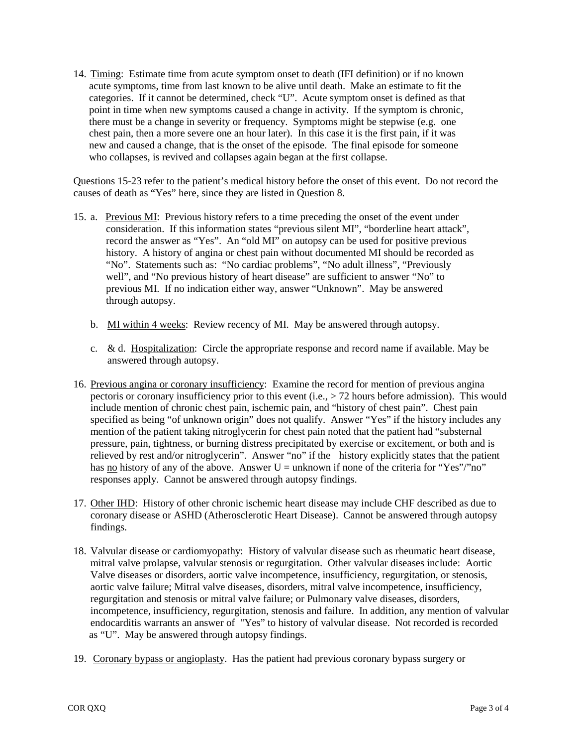14. Timing: Estimate time from acute symptom onset to death (IFI definition) or if no known acute symptoms, time from last known to be alive until death. Make an estimate to fit the categories. If it cannot be determined, check "U". Acute symptom onset is defined as that point in time when new symptoms caused a change in activity. If the symptom is chronic, there must be a change in severity or frequency. Symptoms might be stepwise (e.g. one chest pain, then a more severe one an hour later). In this case it is the first pain, if it was new and caused a change, that is the onset of the episode. The final episode for someone who collapses, is revived and collapses again began at the first collapse.

Questions 15-23 refer to the patient's medical history before the onset of this event. Do not record the causes of death as "Yes" here, since they are listed in Question 8.

- 15. a. Previous MI: Previous history refers to a time preceding the onset of the event under consideration. If this information states "previous silent MI", "borderline heart attack", record the answer as "Yes". An "old MI" on autopsy can be used for positive previous history. A history of angina or chest pain without documented MI should be recorded as "No". Statements such as: "No cardiac problems", "No adult illness", "Previously well", and "No previous history of heart disease" are sufficient to answer "No" to previous MI. If no indication either way, answer "Unknown". May be answered through autopsy.
	- b. MI within 4 weeks: Review recency of MI. May be answered through autopsy.
	- c. & d. Hospitalization: Circle the appropriate response and record name if available. May be answered through autopsy.
- 16. Previous angina or coronary insufficiency: Examine the record for mention of previous angina pectoris or coronary insufficiency prior to this event (i.e., > 72 hours before admission). This would include mention of chronic chest pain, ischemic pain, and "history of chest pain". Chest pain specified as being "of unknown origin" does not qualify. Answer "Yes" if the history includes any mention of the patient taking nitroglycerin for chest pain noted that the patient had "substernal pressure, pain, tightness, or burning distress precipitated by exercise or excitement, or both and is relieved by rest and/or nitroglycerin". Answer "no" if the history explicitly states that the patient has no history of any of the above. Answer  $U =$  unknown if none of the criteria for "Yes"/"no" responses apply. Cannot be answered through autopsy findings.
- 17. Other IHD: History of other chronic ischemic heart disease may include CHF described as due to coronary disease or ASHD (Atherosclerotic Heart Disease). Cannot be answered through autopsy findings.
- 18. Valvular disease or cardiomyopathy: History of valvular disease such as rheumatic heart disease, mitral valve prolapse, valvular stenosis or regurgitation. Other valvular diseases include: Aortic Valve diseases or disorders, aortic valve incompetence, insufficiency, regurgitation, or stenosis, aortic valve failure; Mitral valve diseases, disorders, mitral valve incompetence, insufficiency, regurgitation and stenosis or mitral valve failure; or Pulmonary valve diseases, disorders, incompetence, insufficiency, regurgitation, stenosis and failure. In addition, any mention of valvular endocarditis warrants an answer of "Yes" to history of valvular disease. Not recorded is recorded as "U". May be answered through autopsy findings.
- 19. Coronary bypass or angioplasty. Has the patient had previous coronary bypass surgery or